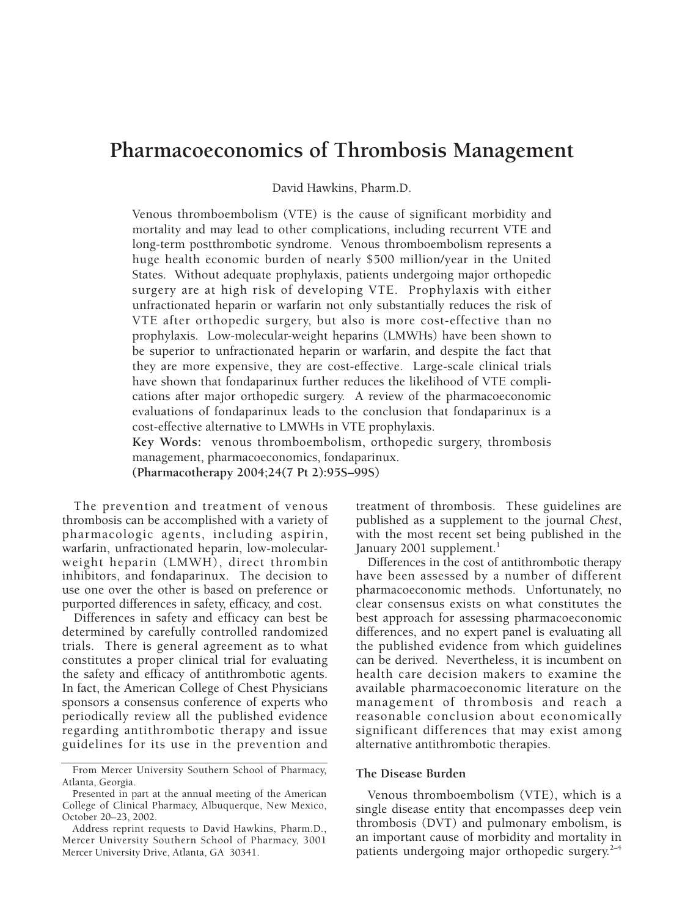# **Pharmacoeconomics of Thrombosis Management**

David Hawkins, Pharm.D.

Venous thromboembolism (VTE) is the cause of significant morbidity and mortality and may lead to other complications, including recurrent VTE and long-term postthrombotic syndrome. Venous thromboembolism represents a huge health economic burden of nearly \$500 million/year in the United States. Without adequate prophylaxis, patients undergoing major orthopedic surgery are at high risk of developing VTE. Prophylaxis with either unfractionated heparin or warfarin not only substantially reduces the risk of VTE after orthopedic surgery, but also is more cost-effective than no prophylaxis. Low-molecular-weight heparins (LMWHs) have been shown to be superior to unfractionated heparin or warfarin, and despite the fact that they are more expensive, they are cost-effective. Large-scale clinical trials have shown that fondaparinux further reduces the likelihood of VTE complications after major orthopedic surgery. A review of the pharmacoeconomic evaluations of fondaparinux leads to the conclusion that fondaparinux is a cost-effective alternative to LMWHs in VTE prophylaxis.

**Key Words:** venous thromboembolism, orthopedic surgery, thrombosis management, pharmacoeconomics, fondaparinux. **(Pharmacotherapy 2004;24(7 Pt 2):95S–99S)**

The prevention and treatment of venous thrombosis can be accomplished with a variety of pharmacologic agents, including aspirin, warfarin, unfractionated heparin, low-molecularweight heparin (LMWH), direct thrombin inhibitors, and fondaparinux. The decision to use one over the other is based on preference or purported differences in safety, efficacy, and cost.

Differences in safety and efficacy can best be determined by carefully controlled randomized trials. There is general agreement as to what constitutes a proper clinical trial for evaluating the safety and efficacy of antithrombotic agents. In fact, the American College of Chest Physicians sponsors a consensus conference of experts who periodically review all the published evidence regarding antithrombotic therapy and issue guidelines for its use in the prevention and

treatment of thrombosis. These guidelines are published as a supplement to the journal *Chest*, with the most recent set being published in the January 2001 supplement.<sup>1</sup>

Differences in the cost of antithrombotic therapy have been assessed by a number of different pharmacoeconomic methods. Unfortunately, no clear consensus exists on what constitutes the best approach for assessing pharmacoeconomic differences, and no expert panel is evaluating all the published evidence from which guidelines can be derived. Nevertheless, it is incumbent on health care decision makers to examine the available pharmacoeconomic literature on the management of thrombosis and reach a reasonable conclusion about economically significant differences that may exist among alternative antithrombotic therapies.

## **The Disease Burden**

Venous thromboembolism (VTE), which is a single disease entity that encompasses deep vein thrombosis (DVT) and pulmonary embolism, is an important cause of morbidity and mortality in patients undergoing major orthopedic surgery.<sup>2-4</sup>

From Mercer University Southern School of Pharmacy, Atlanta, Georgia.

Presented in part at the annual meeting of the American College of Clinical Pharmacy, Albuquerque, New Mexico, October 20–23, 2002.

Address reprint requests to David Hawkins, Pharm.D., Mercer University Southern School of Pharmacy, 3001 Mercer University Drive, Atlanta, GA 30341.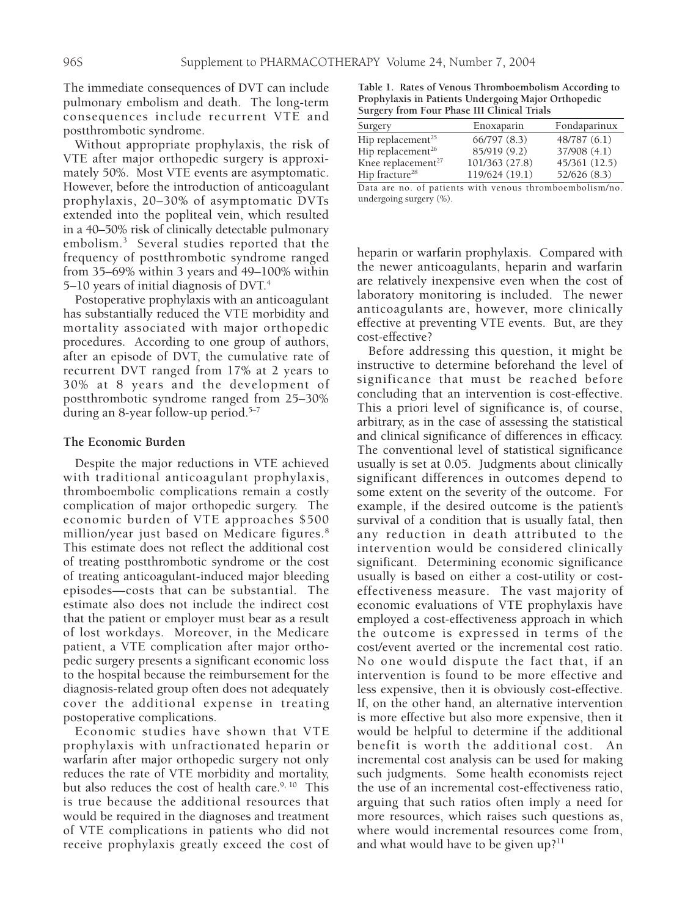The immediate consequences of DVT can include pulmonary embolism and death. The long-term consequences include recurrent VTE and postthrombotic syndrome.

Without appropriate prophylaxis, the risk of VTE after major orthopedic surgery is approximately 50%. Most VTE events are asymptomatic. However, before the introduction of anticoagulant prophylaxis, 20–30% of asymptomatic DVTs extended into the popliteal vein, which resulted in a 40–50% risk of clinically detectable pulmonary embolism.3 Several studies reported that the frequency of postthrombotic syndrome ranged from 35–69% within 3 years and 49–100% within 5–10 years of initial diagnosis of DVT.<sup>4</sup>

Postoperative prophylaxis with an anticoagulant has substantially reduced the VTE morbidity and mortality associated with major orthopedic procedures. According to one group of authors, after an episode of DVT, the cumulative rate of recurrent DVT ranged from 17% at 2 years to 30% at 8 years and the development of postthrombotic syndrome ranged from 25–30% during an 8-year follow-up period.5–7

### **The Economic Burden**

Despite the major reductions in VTE achieved with traditional anticoagulant prophylaxis, thromboembolic complications remain a costly complication of major orthopedic surgery. The economic burden of VTE approaches \$500 million/year just based on Medicare figures.8 This estimate does not reflect the additional cost of treating postthrombotic syndrome or the cost of treating anticoagulant-induced major bleeding episodes—costs that can be substantial. The estimate also does not include the indirect cost that the patient or employer must bear as a result of lost workdays. Moreover, in the Medicare patient, a VTE complication after major orthopedic surgery presents a significant economic loss to the hospital because the reimbursement for the diagnosis-related group often does not adequately cover the additional expense in treating postoperative complications.

Economic studies have shown that VTE prophylaxis with unfractionated heparin or warfarin after major orthopedic surgery not only reduces the rate of VTE morbidity and mortality, but also reduces the cost of health care.<sup>9, 10</sup> This is true because the additional resources that would be required in the diagnoses and treatment of VTE complications in patients who did not receive prophylaxis greatly exceed the cost of

**Table 1. Rates of Venous Thromboembolism According to Prophylaxis in Patients Undergoing Major Orthopedic Surgery from Four Phase III Clinical Trials**

| Surgery                       | Enoxaparin     | Fondaparinux  |
|-------------------------------|----------------|---------------|
| Hip replacement <sup>25</sup> | 66/797 (8.3)   | 48/787(6.1)   |
| Hip replacement <sup>26</sup> | 85/919 (9.2)   | 37/908 (4.1)  |
| Knee replacement $27$         | 101/363 (27.8) | 45/361 (12.5) |
| Hip fracture <sup>28</sup>    | 119/624 (19.1) | 52/626 (8.3)  |
|                               |                |               |

Data are no. of patients with venous thromboembolism/no. undergoing surgery (%).

heparin or warfarin prophylaxis. Compared with the newer anticoagulants, heparin and warfarin are relatively inexpensive even when the cost of laboratory monitoring is included. The newer anticoagulants are, however, more clinically effective at preventing VTE events. But, are they cost-effective?

Before addressing this question, it might be instructive to determine beforehand the level of significance that must be reached before concluding that an intervention is cost-effective. This a priori level of significance is, of course, arbitrary, as in the case of assessing the statistical and clinical significance of differences in efficacy. The conventional level of statistical significance usually is set at 0.05. Judgments about clinically significant differences in outcomes depend to some extent on the severity of the outcome. For example, if the desired outcome is the patient's survival of a condition that is usually fatal, then any reduction in death attributed to the intervention would be considered clinically significant. Determining economic significance usually is based on either a cost-utility or costeffectiveness measure. The vast majority of economic evaluations of VTE prophylaxis have employed a cost-effectiveness approach in which the outcome is expressed in terms of the cost/event averted or the incremental cost ratio. No one would dispute the fact that, if an intervention is found to be more effective and less expensive, then it is obviously cost-effective. If, on the other hand, an alternative intervention is more effective but also more expensive, then it would be helpful to determine if the additional benefit is worth the additional cost. An incremental cost analysis can be used for making such judgments. Some health economists reject the use of an incremental cost-effectiveness ratio, arguing that such ratios often imply a need for more resources, which raises such questions as, where would incremental resources come from, and what would have to be given  $up?$ <sup>11</sup>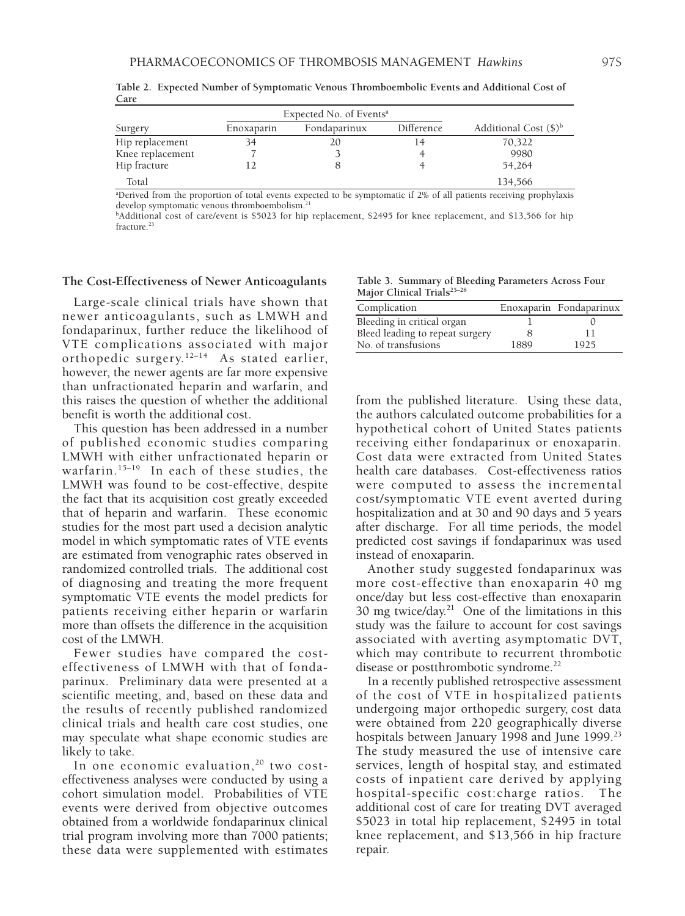| Expected No. of Events <sup>a</sup> |            |              |            |                                          |  |
|-------------------------------------|------------|--------------|------------|------------------------------------------|--|
| Surgery                             | Enoxaparin | Fondaparinux | Difference | Additional Cost $(\text{\$})^{\text{b}}$ |  |
| Hip replacement                     | 34         | 20           |            | 70,322                                   |  |
| Knee replacement                    |            |              |            | 9980                                     |  |
| Hip fracture                        |            |              |            | 54.264                                   |  |
| Total                               |            |              |            | 134,566                                  |  |

**Table 2. Expected Number of Symptomatic Venous Thromboembolic Events and Additional Cost of Care**

a Derived from the proportion of total events expected to be symptomatic if 2% of all patients receiving prophylaxis develop symptomatic venous thromboembolism.<sup>21</sup>

b Additional cost of care/event is \$5023 for hip replacement, \$2495 for knee replacement, and \$13,566 for hip fracture.<sup>23</sup>

#### **The Cost-Effectiveness of Newer Anticoagulants**

Large-scale clinical trials have shown that newer anticoagulants, such as LMWH and fondaparinux, further reduce the likelihood of VTE complications associated with major orthopedic surgery.<sup>12-14</sup> As stated earlier, however, the newer agents are far more expensive than unfractionated heparin and warfarin, and this raises the question of whether the additional benefit is worth the additional cost.

This question has been addressed in a number of published economic studies comparing LMWH with either unfractionated heparin or warfarin.<sup>15-19</sup> In each of these studies, the LMWH was found to be cost-effective, despite the fact that its acquisition cost greatly exceeded that of heparin and warfarin. These economic studies for the most part used a decision analytic model in which symptomatic rates of VTE events are estimated from venographic rates observed in randomized controlled trials. The additional cost of diagnosing and treating the more frequent symptomatic VTE events the model predicts for patients receiving either heparin or warfarin more than offsets the difference in the acquisition cost of the LMWH.

Fewer studies have compared the costeffectiveness of LMWH with that of fondaparinux. Preliminary data were presented at a scientific meeting, and, based on these data and the results of recently published randomized clinical trials and health care cost studies, one may speculate what shape economic studies are likely to take.

In one economic evaluation,  $20$  two costeffectiveness analyses were conducted by using a cohort simulation model. Probabilities of VTE events were derived from objective outcomes obtained from a worldwide fondaparinux clinical trial program involving more than 7000 patients; these data were supplemented with estimates

**Table 3. Summary of Bleeding Parameters Across Four Major Clinical Trials25–28**

| Complication                    |      | Enoxaparin Fondaparinux |
|---------------------------------|------|-------------------------|
| Bleeding in critical organ      |      |                         |
| Bleed leading to repeat surgery |      |                         |
| No. of transfusions             | 1889 | 1925                    |

from the published literature. Using these data, the authors calculated outcome probabilities for a hypothetical cohort of United States patients receiving either fondaparinux or enoxaparin. Cost data were extracted from United States health care databases. Cost-effectiveness ratios were computed to assess the incremental cost/symptomatic VTE event averted during hospitalization and at 30 and 90 days and 5 years after discharge. For all time periods, the model predicted cost savings if fondaparinux was used instead of enoxaparin.

Another study suggested fondaparinux was more cost-effective than enoxaparin 40 mg once/day but less cost-effective than enoxaparin 30 mg twice/day.<sup>21</sup> One of the limitations in this study was the failure to account for cost savings associated with averting asymptomatic DVT, which may contribute to recurrent thrombotic disease or postthrombotic syndrome.<sup>22</sup>

In a recently published retrospective assessment of the cost of VTE in hospitalized patients undergoing major orthopedic surgery, cost data were obtained from 220 geographically diverse hospitals between January 1998 and June 1999.<sup>23</sup> The study measured the use of intensive care services, length of hospital stay, and estimated costs of inpatient care derived by applying hospital-specific cost:charge ratios. The additional cost of care for treating DVT averaged \$5023 in total hip replacement, \$2495 in total knee replacement, and \$13,566 in hip fracture repair.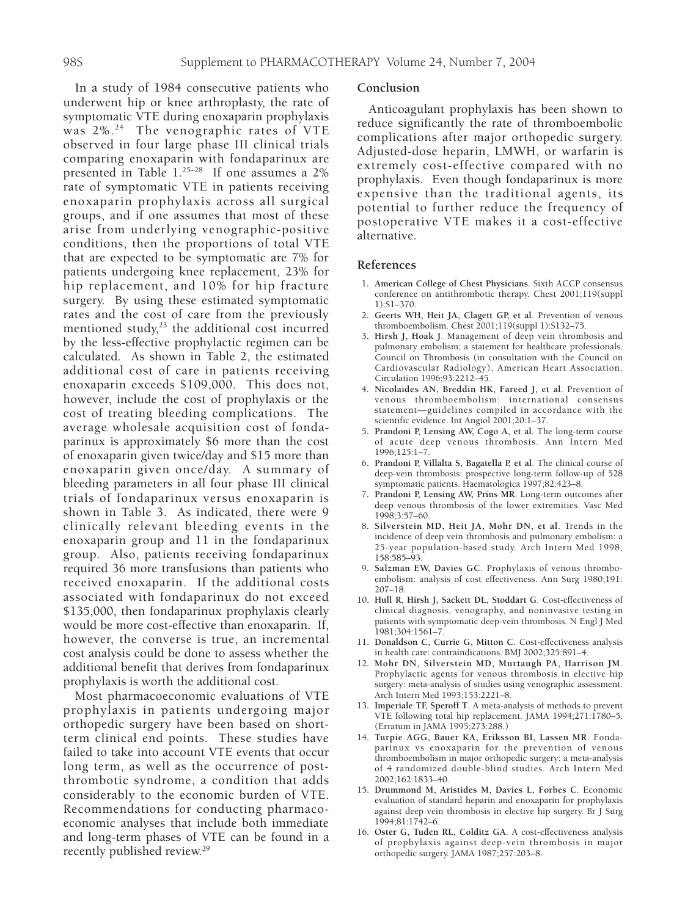In a study of 1984 consecutive patients who underwent hip or knee arthroplasty, the rate of symptomatic VTE during enoxaparin prophylaxis was 2%.<sup>24</sup> The venographic rates of VTE observed in four large phase III clinical trials comparing enoxaparin with fondaparinux are presented in Table 1.25–28 If one assumes a 2% rate of symptomatic VTE in patients receiving enoxaparin prophylaxis across all surgical groups, and if one assumes that most of these arise from underlying venographic-positive conditions, then the proportions of total VTE that are expected to be symptomatic are 7% for patients undergoing knee replacement, 23% for hip replacement, and 10% for hip fracture surgery. By using these estimated symptomatic rates and the cost of care from the previously mentioned study, $23$  the additional cost incurred by the less-effective prophylactic regimen can be calculated. As shown in Table 2, the estimated additional cost of care in patients receiving enoxaparin exceeds \$109,000. This does not, however, include the cost of prophylaxis or the cost of treating bleeding complications. The average wholesale acquisition cost of fondaparinux is approximately \$6 more than the cost of enoxaparin given twice/day and \$15 more than enoxaparin given once/day. A summary of bleeding parameters in all four phase III clinical trials of fondaparinux versus enoxaparin is shown in Table 3. As indicated, there were 9 clinically relevant bleeding events in the enoxaparin group and 11 in the fondaparinux group. Also, patients receiving fondaparinux required 36 more transfusions than patients who received enoxaparin. If the additional costs associated with fondaparinux do not exceed \$135,000, then fondaparinux prophylaxis clearly would be more cost-effective than enoxaparin. If, however, the converse is true, an incremental cost analysis could be done to assess whether the additional benefit that derives from fondaparinux prophylaxis is worth the additional cost.

Most pharmacoeconomic evaluations of VTE prophylaxis in patients undergoing major orthopedic surgery have been based on shortterm clinical end points. These studies have failed to take into account VTE events that occur long term, as well as the occurrence of postthrombotic syndrome, a condition that adds considerably to the economic burden of VTE. Recommendations for conducting pharmacoeconomic analyses that include both immediate and long-term phases of VTE can be found in a recently published review.<sup>29</sup>

#### **Conclusion**

Anticoagulant prophylaxis has been shown to reduce significantly the rate of thromboembolic complications after major orthopedic surgery. Adjusted-dose heparin, LMWH, or warfarin is extremely cost-effective compared with no prophylaxis. Even though fondaparinux is more expensive than the traditional agents, its potential to further reduce the frequency of postoperative VTE makes it a cost-effective alternative.

#### **References**

- 1**. American College of Chest Physicians**. Sixth ACCP consensus conference on antithrombotic therapy. Chest 2001;119(suppl 1):S1–370.
- 2**. Geerts WH, Heit JA, Clagett GP, et al**. Prevention of venous thromboembolism. Chest 2001;119(suppl 1):S132–75.
- 3**. Hirsh J, Hoak J**. Management of deep vein thrombosis and pulmonary embolism: a statement for healthcare professionals. Council on Thrombosis (in consultation with the Council on Cardiovascular Radiology), American Heart Association. Circulation 1996;93:2212–45.
- 4**. Nicolaides AN, Breddin HK, Fareed J, et al**. Prevention of venous thromboembolism: international consensus statement—guidelines compiled in accordance with the scientific evidence. Int Angiol 2001;20:1–37.
- 5**. Prandoni P, Lensing AW, Cogo A, et al**. The long-term course of acute deep venous thrombosis. Ann Intern Med 1996;125:1–7.
- 6**. Prandoni P, Villalta S, Bagatella P, et al**. The clinical course of deep-vein thrombosis: prospective long-term follow-up of 528 symptomatic patients. Haematologica 1997;82:423–8.
- 7**. Prandoni P, Lensing AW, Prins MR**. Long-term outcomes after deep venous thrombosis of the lower extremities. Vasc Med 1998;3:57–60.
- 8**. Silverstein MD, Heit JA, Mohr DN, et al**. Trends in the incidence of deep vein thrombosis and pulmonary embolism: a 25-year population-based study. Arch Intern Med 1998; 158:585–93.
- 9**. Salzman EW, Davies GC**. Prophylaxis of venous thromboembolism: analysis of cost effectiveness. Ann Surg 1980;191: 207–18.
- 10**. Hull R, Hirsh J, Sackett DL, Stoddart G**. Cost-effectiveness of clinical diagnosis, venography, and noninvasive testing in patients with symptomatic deep-vein thrombosis. N Engl J Med 1981;304:1561–7.
- 11**. Donaldson C, Currie G, Mitton C**. Cost-effectiveness analysis in health care: contraindications. BMJ 2002;325:891–4.
- 12**. Mohr DN, Silverstein MD, Murtaugh PA, Harrison JM**. Prophylactic agents for venous thrombosis in elective hip surgery: meta-analysis of studies using venographic assessment. Arch Intern Med 1993;153:2221–8.
- 13**. Imperiale TF, Speroff T**. A meta-analysis of methods to prevent VTE following total hip replacement. JAMA 1994;271:1780–5. (Erratum in JAMA 1995;273:288.)
- 14**. Turpie AGG, Bauer KA, Eriksson BI, Lassen MR**. Fondaparinux vs enoxaparin for the prevention of venous thromboembolism in major orthopedic surgery: a meta-analysis of 4 randomized double-blind studies. Arch Intern Med 2002;162:1833–40.
- 15**. Drummond M, Aristides M, Davies L, Forbes C**. Economic evaluation of standard heparin and enoxaparin for prophylaxis against deep vein thrombosis in elective hip surgery. Br J Surg 1994;81:1742–6.
- 16**. Oster G, Tuden RL, Colditz GA**. A cost-effectiveness analysis of prophylaxis against deep-vein thrombosis in major orthopedic surgery. JAMA 1987;257:203–8.